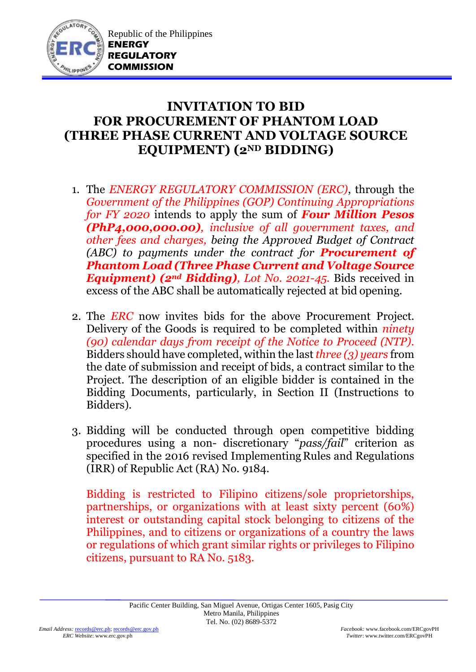

## **INVITATION TO BID FOR PROCUREMENT OF PHANTOM LOAD (THREE PHASE CURRENT AND VOLTAGE SOURCE EQUIPMENT) (2ND BIDDING)**

- 1. The *ENERGY REGULATORY COMMISSION (ERC)*, through the *Government of the Philippines (GOP) Continuing Appropriations for FY 2020* intends to apply the sum of *Four Million Pesos (PhP4,000,000.00), inclusive of all government taxes, and other fees and charges, being the Approved Budget of Contract (ABC) to payments under the contract for Procurement of Phantom Load (Three Phase Current and Voltage Source Equipment) (2nd Bidding), Lot No. 2021-45.* Bids received in excess of the ABC shall be automatically rejected at bid opening.
- 2. The *ERC* now invites bids for the above Procurement Project. Delivery of the Goods is required to be completed within *ninety (90) calendar days from receipt of the Notice to Proceed (NTP).* Bidders should have completed, within the last *three (3) years* from the date of submission and receipt of bids, a contract similar to the Project. The description of an eligible bidder is contained in the Bidding Documents, particularly, in Section II (Instructions to Bidders).
- 3. Bidding will be conducted through open competitive bidding procedures using a non- discretionary "*pass/fail*" criterion as specified in the 2016 revised Implementing Rules and Regulations (IRR) of Republic Act (RA) No. 9184.

Bidding is restricted to Filipino citizens/sole proprietorships, partnerships, or organizations with at least sixty percent (60%) interest or outstanding capital stock belonging to citizens of the Philippines, and to citizens or organizations of a country the laws or regulations of which grant similar rights or privileges to Filipino citizens, pursuant to RA No. 5183.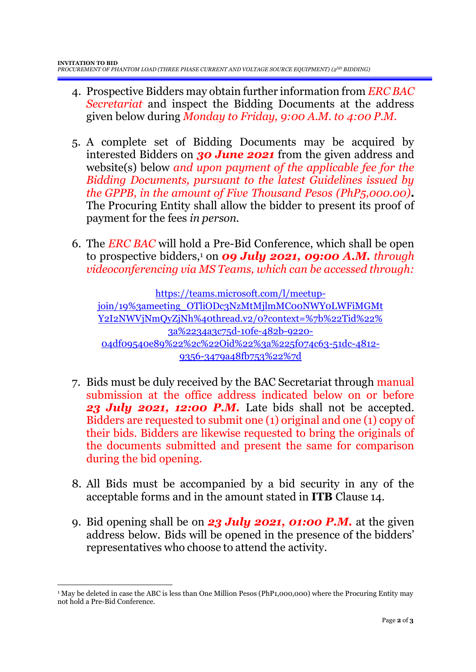- 4. Prospective Bidders may obtain further information from *ERC BAC Secretariat* and inspect the Bidding Documents at the address given below during *Monday to Friday, 9:00 A.M. to 4:00 P.M*.
- 5. A complete set of Bidding Documents may be acquired by interested Bidders on *30 June 2021* from the given address and website(s) below *and upon payment of the applicable fee for the Bidding Documents, pursuant to the latest Guidelines issued by the GPPB, in the amount of Five Thousand Pesos (PhP5,000.00)***.** The Procuring Entity shall allow the bidder to present its proof of payment for the fees *in person.*
- 6. The *ERC BAC* will hold a Pre-Bid Conference, which shall be open to prospective bidders,<sup>1</sup> on *09 July 2021, 09:00 A.M. through videoconferencing via MS Teams, which can be accessed through:*

[https://teams.microsoft.com/l/meetup](https://teams.microsoft.com/l/meetup-join/19%3ameeting_OTliODc3NzMtMjlmMC00NWY0LWFiMGMtY2I2NWVjNmQyZjNh%40thread.v2/0?context=%7b%22Tid%22%3a%2234a3c75d-10fe-482b-9220-04df09540e89%22%2c%22Oid%22%3a%225f074c63-51dc-4812-9356-3479a48fb753%22%7d)[join/19%3ameeting\\_OTliODc3NzMtMjlmMC00NWY0LWFiMGMt](https://teams.microsoft.com/l/meetup-join/19%3ameeting_OTliODc3NzMtMjlmMC00NWY0LWFiMGMtY2I2NWVjNmQyZjNh%40thread.v2/0?context=%7b%22Tid%22%3a%2234a3c75d-10fe-482b-9220-04df09540e89%22%2c%22Oid%22%3a%225f074c63-51dc-4812-9356-3479a48fb753%22%7d) [Y2I2NWVjNmQyZjNh%40thread.v2/0?context=%7b%22Tid%22%](https://teams.microsoft.com/l/meetup-join/19%3ameeting_OTliODc3NzMtMjlmMC00NWY0LWFiMGMtY2I2NWVjNmQyZjNh%40thread.v2/0?context=%7b%22Tid%22%3a%2234a3c75d-10fe-482b-9220-04df09540e89%22%2c%22Oid%22%3a%225f074c63-51dc-4812-9356-3479a48fb753%22%7d) [3a%2234a3c75d-10fe-482b-9220-](https://teams.microsoft.com/l/meetup-join/19%3ameeting_OTliODc3NzMtMjlmMC00NWY0LWFiMGMtY2I2NWVjNmQyZjNh%40thread.v2/0?context=%7b%22Tid%22%3a%2234a3c75d-10fe-482b-9220-04df09540e89%22%2c%22Oid%22%3a%225f074c63-51dc-4812-9356-3479a48fb753%22%7d) [04df09540e89%22%2c%22Oid%22%3a%225f074c63-51dc-4812-](https://teams.microsoft.com/l/meetup-join/19%3ameeting_OTliODc3NzMtMjlmMC00NWY0LWFiMGMtY2I2NWVjNmQyZjNh%40thread.v2/0?context=%7b%22Tid%22%3a%2234a3c75d-10fe-482b-9220-04df09540e89%22%2c%22Oid%22%3a%225f074c63-51dc-4812-9356-3479a48fb753%22%7d) [9356-3479a48fb753%22%7d](https://teams.microsoft.com/l/meetup-join/19%3ameeting_OTliODc3NzMtMjlmMC00NWY0LWFiMGMtY2I2NWVjNmQyZjNh%40thread.v2/0?context=%7b%22Tid%22%3a%2234a3c75d-10fe-482b-9220-04df09540e89%22%2c%22Oid%22%3a%225f074c63-51dc-4812-9356-3479a48fb753%22%7d)

- 7. Bids must be duly received by the BAC Secretariat through manual submission at the office address indicated below on or before *23 July 2021, 12:00 P.M.* Late bids shall not be accepted. Bidders are requested to submit one (1) original and one (1) copy of their bids. Bidders are likewise requested to bring the originals of the documents submitted and present the same for comparison during the bid opening.
- 8. All Bids must be accompanied by a bid security in any of the acceptable forms and in the amount stated in **ITB** Clause 14.
- 9. Bid opening shall be on *23 July 2021, 01:00 P.M.* at the given address below. Bids will be opened in the presence of the bidders' representatives who choose to attend the activity.

1

<sup>1</sup> May be deleted in case the ABC is less than One Million Pesos (PhP1,000,000) where the Procuring Entity may not hold a Pre-Bid Conference.